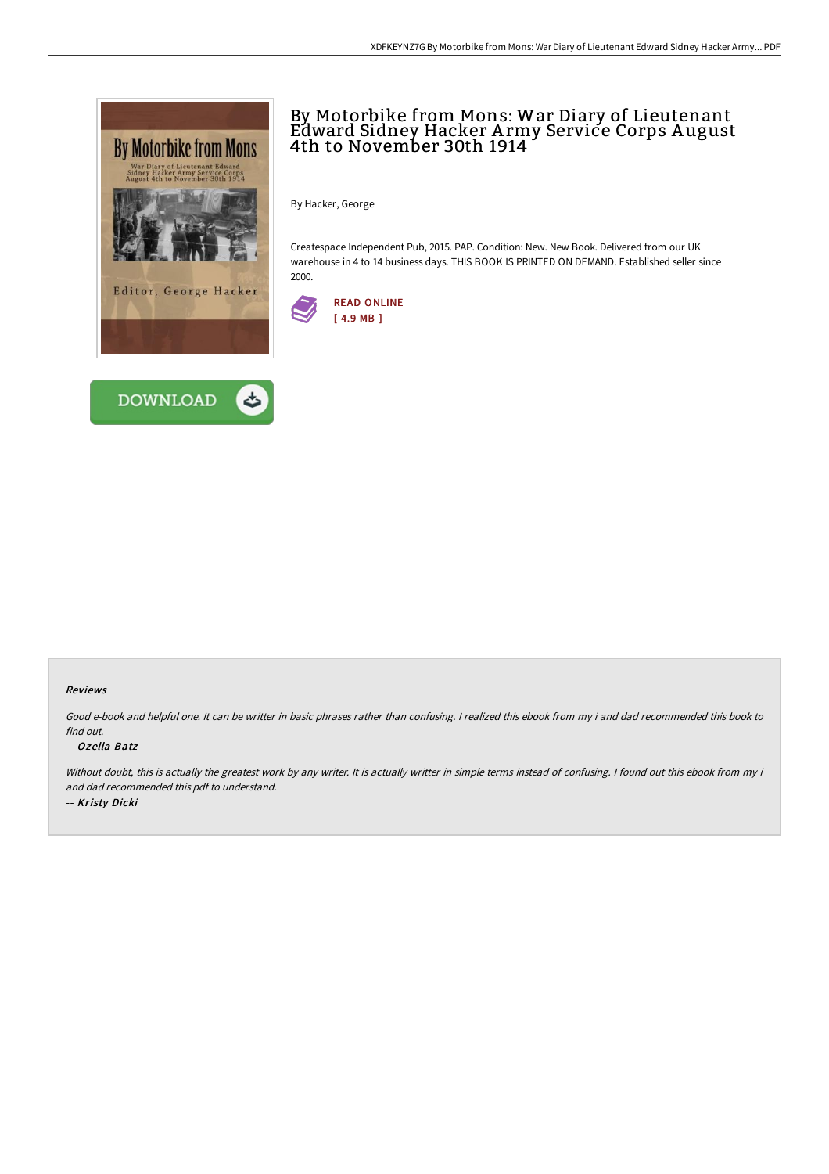



# By Motorbike from Mons: War Diary of Lieutenant Edward Sidney Hacker A rmy Service Corps A ugust 4th to November 30th 1914

By Hacker, George

Createspace Independent Pub, 2015. PAP. Condition: New. New Book. Delivered from our UK warehouse in 4 to 14 business days. THIS BOOK IS PRINTED ON DEMAND. Established seller since 2000.



#### Reviews

Good e-book and helpful one. It can be writter in basic phrases rather than confusing. <sup>I</sup> realized this ebook from my i and dad recommended this book to find out.

#### -- Ozella Batz

Without doubt, this is actually the greatest work by any writer. It is actually writter in simple terms instead of confusing. I found out this ebook from my i and dad recommended this pdf to understand. -- Kristy Dicki